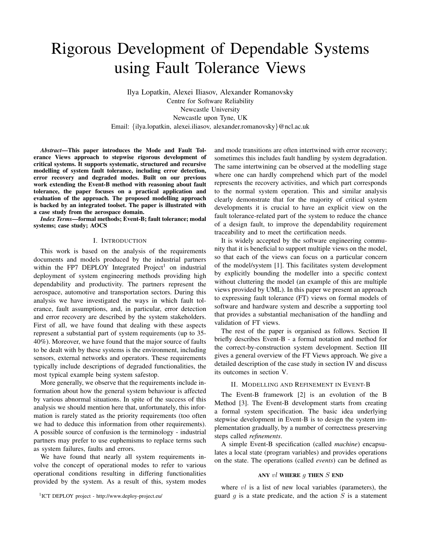# Rigorous Development of Dependable Systems using Fault Tolerance Views

Ilya Lopatkin, Alexei Iliasov, Alexander Romanovsky Centre for Software Reliability Newcastle University Newcastle upon Tyne, UK Email: {ilya.lopatkin, alexei.iliasov, alexander.romanovsky}@ncl.ac.uk

*Abstract*—This paper introduces the Mode and Fault Tolerance Views approach to stepwise rigorous development of critical systems. It supports systematic, structured and recursive modelling of system fault tolerance, including error detection, error recovery and degraded modes. Built on our previous work extending the Event-B method with reasoning about fault tolerance, the paper focuses on a practical application and evaluation of the approach. The proposed modelling approach is backed by an integrated toolset. The paper is illustrated with a case study from the aerospace domain.

*Index Terms*—formal methods; Event-B; fault tolerance; modal systems; case study; AOCS

#### I. INTRODUCTION

This work is based on the analysis of the requirements documents and models produced by the industrial partners within the FP7 DEPLOY Integrated Project<sup>1</sup> on industrial deployment of system engineering methods providing high dependability and productivity. The partners represent the aerospace, automotive and transportation sectors. During this analysis we have investigated the ways in which fault tolerance, fault assumptions, and, in particular, error detection and error recovery are described by the system stakeholders. First of all, we have found that dealing with these aspects represent a substantial part of system requirements (up to 35- 40%). Moreover, we have found that the major source of faults to be dealt with by these systems is the environment, including sensors, external networks and operators. These requirements typically include descriptions of degraded functionalities, the most typical example being system safestop.

More generally, we observe that the requirements include information about how the general system behaviour is affected by various abnormal situations. In spite of the success of this analysis we should mention here that, unfortunately, this information is rarely stated as the priority requirements (too often we had to deduce this information from other requirements). A possible source of confusion is the terminology - industrial partners may prefer to use euphemisms to replace terms such as system failures, faults and errors.

We have found that nearly all system requirements involve the concept of operational modes to refer to various operational conditions resulting in differing functionalities provided by the system. As a result of this, system modes and mode transitions are often intertwined with error recovery; sometimes this includes fault handling by system degradation. The same intertwining can be observed at the modelling stage where one can hardly comprehend which part of the model represents the recovery activities, and which part corresponds to the normal system operation. This and similar analysis clearly demonstrate that for the majority of critical system developments it is crucial to have an explicit view on the fault tolerance-related part of the system to reduce the chance of a design fault, to improve the dependability requirement traceability and to meet the certification needs.

It is widely accepted by the software engineering community that it is beneficial to support multiple views on the model, so that each of the views can focus on a particular concern of the model/system [1]. This facilitates system development by explicitly bounding the modeller into a specific context without cluttering the model (an example of this are multiple views provided by UML). In this paper we present an approach to expressing fault tolerance (FT) views on formal models of software and hardware system and describe a supporting tool that provides a substantial mechanisation of the handling and validation of FT views.

The rest of the paper is organised as follows. Section II briefly describes Event-B - a formal notation and method for the correct-by-construction system development. Section III gives a general overview of the FT Views approach. We give a detailed description of the case study in section IV and discuss its outcomes in section V.

#### II. MODELLING AND REFINEMENT IN EVENT-B

The Event-B framework [2] is an evolution of the B Method [3]. The Event-B development starts from creating a formal system specification. The basic idea underlying stepwise development in Event-B is to design the system implementation gradually, by a number of correctness preserving steps called *refinements*.

A simple Event-B specification (called *machine*) encapsulates a local state (program variables) and provides operations on the state. The operations (called *events*) can be defined as

#### ANY  $vl$  WHERE  $g$  THEN  $S$  END

where  $vl$  is a list of new local variables (parameters), the guard  $g$  is a state predicate, and the action  $S$  is a statement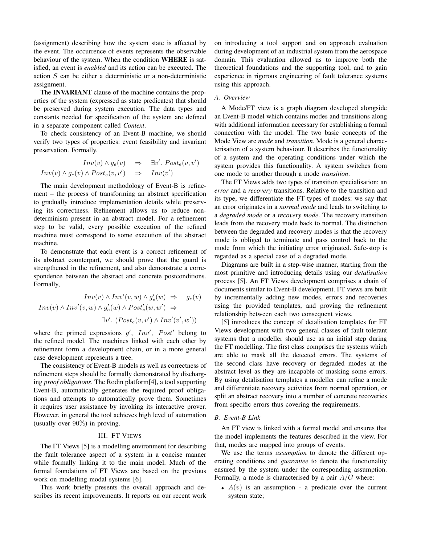(assignment) describing how the system state is affected by the event. The occurrence of events represents the observable behaviour of the system. When the condition WHERE is satisfied, an event is *enabled* and its action can be executed. The action  $S$  can be either a deterministic or a non-deterministic assignment.

The INVARIANT clause of the machine contains the properties of the system (expressed as state predicates) that should be preserved during system execution. The data types and constants needed for specification of the system are defined in a separate component called *Context*.

To check consistency of an Event-B machine, we should verify two types of properties: event feasibility and invariant preservation. Formally,

$$
Inv(v) \land g_e(v) \Rightarrow \exists v'. \; Post_e(v, v')
$$
  

$$
Inv(v) \land g_e(v) \land Post_e(v, v') \Rightarrow Inv(v')
$$

The main development methodology of Event-B is refinement – the process of transforming an abstract specification to gradually introduce implementation details while preserving its correctness. Refinement allows us to reduce nondeterminism present in an abstract model. For a refinement step to be valid, every possible execution of the refined machine must correspond to some execution of the abstract machine.

To demonstrate that each event is a correct refinement of its abstract counterpart, we should prove that the guard is strengthened in the refinement, and also demonstrate a correspondence between the abstract and concrete postconditions. Formally,

$$
Inv(v) \land Inv'(v, w) \land g'_{e}(w) \Rightarrow g_{e}(v)
$$
  

$$
Inv(v) \land Inv'(v, w) \land g'_{e}(w) \land Post'_{e}(w, w') \Rightarrow
$$
  

$$
\exists v' . (Post_{e}(v, v') \land Inv'(v', w'))
$$

where the primed expressions  $g'$ ,  $Inv'$ ,  $Post'$  belong to the refined model. The machines linked with each other by refinement form a development chain, or in a more general case development represents a tree.

The consistency of Event-B models as well as correctness of refinement steps should be formally demonstrated by discharging *proof obligations*. The Rodin platform[4], a tool supporting Event-B, automatically generates the required proof obligations and attempts to automatically prove them. Sometimes it requires user assistance by invoking its interactive prover. However, in general the tool achieves high level of automation (usually over 90%) in proving.

#### III. FT VIEWS

The FT Views [5] is a modelling environment for describing the fault tolerance aspect of a system in a concise manner while formally linking it to the main model. Much of the formal foundations of FT Views are based on the previous work on modelling modal systems [6].

This work briefly presents the overall approach and describes its recent improvements. It reports on our recent work on introducing a tool support and on approach evaluation during development of an industrial system from the aerospace domain. This evaluation allowed us to improve both the theoretical foundations and the supporting tool, and to gain experience in rigorous engineering of fault tolerance systems using this approach.

### *A. Overview*

A Mode/FT view is a graph diagram developed alongside an Event-B model which contains modes and transitions along with additional information necessary for establishing a formal connection with the model. The two basic concepts of the Mode View are *mode* and *transition*. Mode is a general characterisation of a system behaviour. It describes the functionality of a system and the operating conditions under which the system provides this functionality. A system switches from one mode to another through a mode *transition*.

The FT Views adds two types of transition specialisation: an *error* and a *recovery* transitions. Relative to the transition and its type, we differentiate the FT types of modes: we say that an error originates in a *normal mode* and leads to switching to a *degraded mode* or a *recovery mode*. The recovery transition leads from the recovery mode back to normal. The distinction between the degraded and recovery modes is that the recovery mode is obliged to terminate and pass control back to the mode from which the initiating error originated. Safe-stop is regarded as a special case of a degraded mode.

Diagrams are built in a step-wise manner, starting from the most primitive and introducing details using our *detalisation* process [5]. An FT Views development comprises a chain of documents similar to Event-B development. FT views are built by incrementally adding new modes, errors and recoveries using the provided templates, and proving the refinement relationship between each two consequent views.

[5] introduces the concept of detalisation templates for FT Views development with two general classes of fault tolerant systems that a modeller should use as an initial step during the FT modelling. The first class comprises the systems which are able to mask all the detected errors. The systems of the second class have recovery or degraded modes at the abstract level as they are incapable of masking some errors. By using detalisation templates a modeller can refine a mode and differentiate recovery activities from normal operation, or split an abstract recovery into a number of concrete recoveries from specific errors thus covering the requirements.

#### *B. Event-B Link*

An FT view is linked with a formal model and ensures that the model implements the features described in the view. For that, modes are mapped into groups of events.

We use the terms *assumption* to denote the different operating conditions and *guarantee* to denote the functionality ensured by the system under the corresponding assumption. Formally, a mode is characterised by a pair  $A/G$  where:

•  $A(v)$  is an assumption - a predicate over the current system state;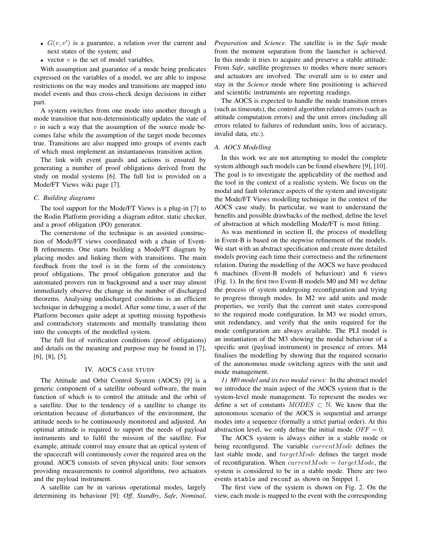- $G(v, v')$  is a guarantee, a relation over the current and next states of the system; and
- vector  $v$  is the set of model variables.

With assumption and guarantee of a mode being predicates expressed on the variables of a model, we are able to impose restrictions on the way modes and transitions are mapped into model events and thus cross-check design decisions in either part.

A system switches from one mode into another through a mode transition that non-deterministically updates the state of  $v$  in such a way that the assumption of the source mode becomes false while the assumption of the target mode becomes true. Transitions are also mapped into groups of events each of which must implement an instantaneous transition action.

The link with event guards and actions is ensured by generating a number of proof obligations derived from the study on modal systems [6]. The full list is provided on a Mode/FT Views wiki page [7].

### *C. Building diagrams*

The tool support for the Mode/FT Views is a plug-in [7] to the Rodin Platform providing a diagram editor, static checker, and a proof obligation (PO) generator.

The cornerstone of the technique is an assisted construction of Mode/FT views coordinated with a chain of Event-B refinements. One starts building a Mode/FT diagram by placing modes and linking them with transitions. The main feedback from the tool is in the form of the consistency proof obligations. The proof obligation generator and the automated provers run in background and a user may almost immediately observe the change in the number of discharged theorems. Analysing undischarged conditions is an efficient technique in debugging a model. After some time, a user of the Platform becomes quite adept at spotting missing hypothesis and contradictory statements and mentally translating them into the concepts of the modelled system.

The full list of verification conditions (proof obligations) and details on the meaning and purpose may be found in [7], [6], [8], [5].

#### IV. AOCS CASE STUDY

The Attitude and Orbit Control System (AOCS) [9] is a generic component of a satellite onboard software, the main function of which is to control the attitude and the orbit of a satellite. Due to the tendency of a satellite to change its orientation because of disturbances of the environment, the attitude needs to be continuously monitored and adjusted. An optimal attitude is required to support the needs of payload instruments and to fulfil the mission of the satellite. For example, attitude control may ensure that an optical system of the spacecraft will continuously cover the required area on the ground. AOCS consists of seven physical units: four sensors providing measurements to control algorithms, two actuators and the payload instrument.

A satellite can be in various operational modes, largely determining its behaviour [9]: *Off*, *Standby*, *Safe*, *Nominal*, *Preparation* and *Science*. The satellite is in the *Safe* mode from the moment separation from the launcher is achieved. In this mode it tries to acquire and preserve a stable attitude. From *Safe*, satellite progresses to modes where more sensors and actuators are involved. The overall aim is to enter and stay in the *Science* mode where fine positioning is achieved and scientific instruments are reporting readings.

The AOCS is expected to handle the mode transition errors (such as timeouts), the control algorithm related errors (such as attitude computation errors) and the unit errors (including all errors related to failures of redundant units, loss of accuracy, invalid data, etc.).

## *A. AOCS Modelling*

In this work we are not attempting to model the complete system although such models can be found elsewhere [9], [10]. The goal is to investigate the applicability of the method and the tool in the context of a realistic system. We focus on the modal and fault tolerance aspects of the system and investigate the Mode/FT Views modelling technique in the context of the AOCS case study. In particular, we want to understand the benefits and possible drawbacks of the method, define the level of abstraction at which modelling Mode/FT is most fitting.

As was mentioned in section II, the process of modelling in Event-B is based on the stepwise refinement of the models. We start with an abstract specification and create more detailed models proving each time their correctness and the refinement relation. During the modelling of the AOCS we have produced 6 machines (Event-B models of behaviour) and 6 views (Fig. 1). In the first two Event-B models M0 and M1 we define the process of system undergoing reconfiguration and trying to progress through modes. In M2 we add units and mode properties, we verify that the current unit states correspond to the required mode configuration. In M3 we model errors, unit redundancy, and verify that the units required for the mode configuration are always available. The PLI model is an instantiation of the M3 showing the modal behaviour of a specific unit (payload instrument) in presence of errors. M4 finalises the modelling by showing that the required scenario of the autonomous mode switching agrees with the unit and mode management.

*1) M0 model and its two modal views:* In the abstract model we introduce the main aspect of the AOCS system that is the system-level mode management. To represent the modes we define a set of constants  $MODES \subset \mathbb{N}$ . We know that the autonomous scenario of the AOCS is sequential and arrange modes into a sequence (formally a strict partial order). At this abstraction level, we only define the initial mode  $OFF = 0$ .

The AOCS system is always either in a stable mode or being reconfigured. The variable *currentMode* defines the last stable mode, and  $targetMode$  defines the target mode of reconfiguration. When  $currentMode = targetMode$ , the system is considered to be in a stable mode. There are two events stable and reconf as shown on Snippet 1.

The first view of the system is shown on Fig. 2. On the view, each mode is mapped to the event with the corresponding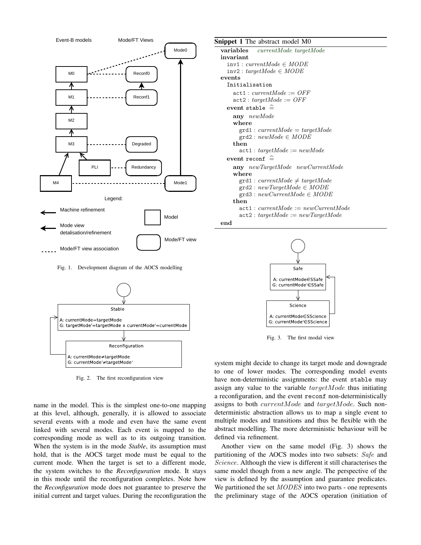

Fig. 1. Development diagram of the AOCS modelling



Fig. 2. The first reconfiguration view

name in the model. This is the simplest one-to-one mapping at this level, although, generally, it is allowed to associate several events with a mode and even have the same event linked with several modes. Each event is mapped to the corresponding mode as well as to its outgoing transition. When the system is in the mode *Stable*, its assumption must hold, that is the AOCS target mode must be equal to the current mode. When the target is set to a different mode, the system switches to the *Reconfiguration* mode. It stays in this mode until the reconfiguration completes. Note how the *Reconfiguration* mode does not guarantee to preserve the initial current and target values. During the reconfiguration the

#### Snippet 1 The abstract model M0

```
variables currentMode targetMode
invariant
  inv1: currentMode \in MODEinv2: targetMode \in MODEevents
  Initialisation
    act1 : currentMode := OFFact2: targetMode := OFFevent stable \hat{=}any newMode
    where
      \text{grd1}: currentMode = targetModegrad2 : newMode \in MODEthen
      act1: targetMode := newModeevent reconf \hat{=}any newTargetMode newCurrentMode
    where
      \text{grd1}: currentMode \neq targetModegrd2 : newTargetMode \in MODEgrd3 : newCurrentMode ∈ MODE
    then
      \texttt{act1}: \textit{currentMode} := \textit{newCurrentMode}\texttt{act2}: \textit{targetMode} := \textit{newTargetMode}end
```


Fig. 3. The first modal view

system might decide to change its target mode and downgrade to one of lower modes. The corresponding model events have non-deterministic assignments: the event stable may assign any value to the variable  $targetMode$  thus initiating a reconfiguration, and the event reconf non-deterministically assigns to both  $currentMode$  and  $targetMode$ . Such nondeterministic abstraction allows us to map a single event to multiple modes and transitions and thus be flexible with the abstract modelling. The more deterministic behaviour will be defined via refinement.

Another view on the same model (Fig. 3) shows the partitioning of the AOCS modes into two subsets: Safe and Science. Although the view is different it still characterises the same model though from a new angle. The perspective of the view is defined by the assumption and guarantee predicates. We partitioned the set *MODES* into two parts - one represents the preliminary stage of the AOCS operation (initiation of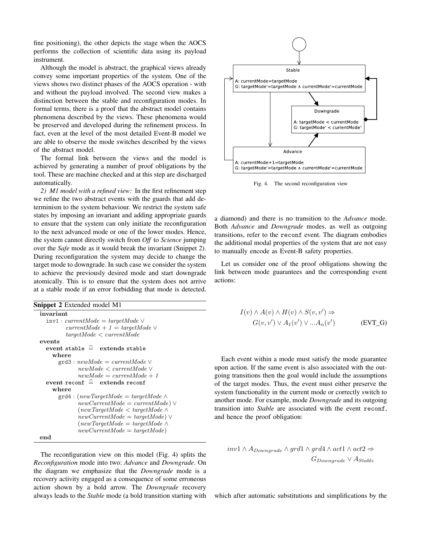fine positioning), the other depicts the stage when the AOCS performs the collection of scientific data using its payload instrument.

Although the model is abstract, the graphical views already convey some important properties of the system. One of the views shows two distinct phases of the AOCS operation - with and without the payload involved. The second view makes a distinction between the stable and reconfiguration modes. In formal terms, there is a proof that the abstract model contains phenomena described by the views. These phenomena would be preserved and developed during the refinement process. In fact, even at the level of the most detailed Event-B model we are able to observe the mode switches described by the views of the abstract model.

The formal link between the views and the model is achieved by generating a number of proof obligations by the tool. These are machine checked and at this step are discharged automatically.

*2) M1 model with a refined view:* In the first refinement step we refine the two abstract events with the guards that add determinism to the system behaviour. We restrict the system safe states by imposing an invariant and adding appropriate guards to ensure that the system can only initiate the reconfiguration to the next advanced mode or one of the lower modes. Hence, the system cannot directly switch from *Off* to *Science* jumping over the *Safe* mode as it would break the invariant (Snippet 2). During reconfiguration the system may decide to change the target mode to downgrade. In such case we consider the system to achieve the previously desired mode and start downgrade atomically. This is to ensure that the system does not arrive at a stable mode if an error forbidding that mode is detected.

```
Snippet 2 Extended model M1
  invariant
    inv1: currentMode = targetMode \veecurrentMode + 1 = targetMode \veetargetMode < currentMode
  events
    event stable \ \widehat{=} \ \ \text{extends stable}where
        grad3 : newMode = currentMode \veenewMode < currentMode ∨
               newMode = currentMode + 1event reconf \hat{=} extends reconf
      where
        \text{grad}4 : (newTargetMode = targetMode \wedgenewCurrentMode = currentMode) ∨
               (newTargetMode < targetMode ∧
               newCurrentMode = targetMode) ∨
               (newTargetMode = targetMode \wedgenewCurrentMode = targetMode
```

```
end
```
The reconfiguration view on this model (Fig. 4) splits the *Reconfiguration* mode into two: *Advance* and *Downgrade*. On the diagram we emphasize that the *Downgrade* mode is a recovery activity engaged as a consequence of some erroneous action shown by a bold arrow. The *Downgrade* recovery always leads to the *Stable* mode (a bold transition starting with



Fig. 4. The second reconfiguration view

a diamond) and there is no transition to the *Advance* mode. Both *Advance* and *Downgrade* modes, as well as outgoing transitions, refer to the reconf event. The diagram embodies the additional modal properties of the system that are not easy to manually encode as Event-B safety properties.

Let us consider one of the proof obligations showing the link between mode guarantees and the corresponding event actions:

$$
I(v) \wedge A(v) \wedge H(v) \wedge S(v, v') \Rightarrow
$$
  

$$
G(v, v') \vee A_1(v') \vee ... A_n(v')
$$
 (EVT\_G)

Each event within a mode must satisfy the mode guarantee upon action. If the same event is also associated with the outgoing transitions then the goal would include the assumptions of the target modes. Thus, the event must either preserve the system functionality in the current mode or correctly switch to another mode. For example, mode *Downgrade* and its outgoing transition into *Stable* are associated with the event reconf, and hence the proof obligation:

$$
inv1 \wedge A_{Downgrade} \wedge grd1 \wedge grd4 \wedge act1 \wedge act2 \Rightarrow
$$
  

$$
G_{Downgrade} \vee A_{Stable}
$$

which after automatic substitutions and simplifications by the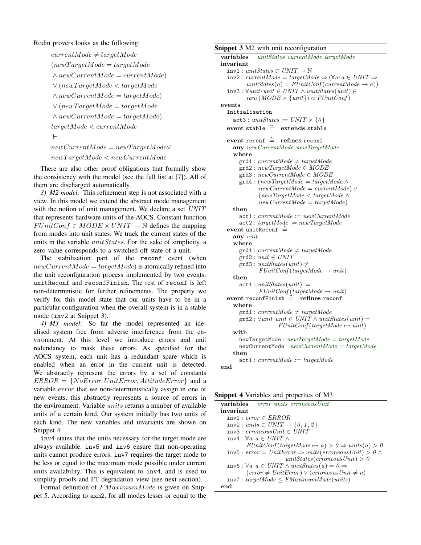Rodin provers looks as the following:

```
currentMode \neq targetMode(newTargetMode = targetMode\wedge newCurrentMode = currentMode)
\vee (newTargetMode \lt targetMode
\wedge newCurrentMode = targetMode\vee (newTargetMode = targetMode
\wedge newCurrentMode = targetModetargetMode < currentMode\vdashnewCurrentMode = newTargetMode \vee
```
 $newTargetMode < newCurrentMode$ 

There are also other proof obligations that formally show the consistency with the model (see the full list at [7]). All of them are discharged automatically.

*3) M2 model:* This refinement step is not associated with a view. In this model we extend the abstract mode management with the notion of unit management. We declare a set UNIT that represents hardware units of the AOCS. Constant function  $FUnitConf \in MODE \times UNIT \rightarrow \mathbb{N}$  defines the mapping from modes into unit states. We track the current states of the units in the variable unitStates. For the sake of simplicity, a zero value corresponds to a switched-off state of a unit.

The stabilisation part of the reconf event (when  $newCurrentMode = targetMode$ ) is atomically refined into the unit reconfiguration process implemented by two events: unitReconf and reconfFinish. The rest of reconf is left non-deterministic for further refinements. The property we verify for this model state that our units have to be in a particular configuration when the overall system is in a stable mode (inv2 at Snippet 3).

*4) M3 model:* So far the model represented an idealised system free from adverse interference from the environment. At this level we introduce errors and unit redundancy to mask these errors. As specified for the AOCS system, each unit has a redundant spare which is enabled when an error in the current unit is detected. We abstractly represent the errors by a set of constants  $ERROR = \{NoError, UnitError, Attitude Error\}$  and a variable error that we non-deterministically assign in one of new events, this abstractly represents a source of errors in the environment. Variable *units* returns a number of available units of a certain kind. Our system initially has two units of each kind. The new variables and invariants are shown on Snippet 4.

inv4 states that the units necessary for the target mode are always available. inv5 and inv6 ensure that non-operating units cannot produce errors. inv7 requires the target mode to be less or equal to the maximum mode possible under current units availability. This is equivalent to inv4, and is used to simplify proofs and FT degradation view (see next section).

Formal definition of  $FMaximumMode$  is given on Snippet 5. According to axm2, for all modes lesser or equal to the

```
Snippet 3 M2 with unit reconfiguration
  variables unitStates currentMode targetMode
  invariant
    inv1: unitStates \in UNIT \rightarrow \mathbb{N}inv2: currentMode = targetMode \Rightarrow (\forall a \cdot a \in UNIT \RightarrowunitStates(a) = FUnitConf(currentMode \rightarrow a))inv3 : ∀unit·unit ∈ UNIT ∧ unitStates(unit) ∈
             ran((MODE \times \{unit\}) \triangleleft \textit{FUnitConf})events
    Initialisation
       act3: unitStates := UNIT \times \{0\}event stable \hat{=} extends stable
    event reconf \hat{=} refines reconf
       any newCurrentMode newTargetMode
       where
         \text{grd1}: currentMode \neq targetModegrad2 : newTargetMode \in MODEgrd3 : newCurrentMode ∈ MODE
         grad4 : (newTargetMode = targetMode \wedgenewCurrentMode = currentMode) ∨
                 (newTargetMode < targetMode ∧
                 newCurrentMode = targetModethen
         \texttt{act1}: \textit{currentMode} := \textit{newCurrentMode}\texttt{act2}: \textit{targetMode} := \textit{newTargetMode}event unitReconf \widehat{=}any unit
       where
          \text{grad1}: currentMode \neq targetModegrad2 : unit \in \textit{UNIT}grad3 : unitStates(unit) \neqFUnitConf(targetMode \rightarrow unit)then
         \text{act1}: \text{unitStates}(\text{unit}):FUnitConf(targetMode \rightarrow unit)event reconfFinish \hat{=} refines reconf
       where
         \text{grad1}: currentMode \neq targetMode\text{grad2}: \forall unit \cdot unit \in \text{UNIT} \land \text{unitStates}(unit) =FUnitConf(targetMode \rightarrow unit)with
         newTargetMode : newTargetMode = targetModenewCurrentMode: newCurrentMode = targetModethen
          \texttt{act1}: currentMode := targetModeend
```

| <b>variables</b> error units erroneous Unit                             |
|-------------------------------------------------------------------------|
| invariant                                                               |
| $inv1: error \in ERROR$                                                 |
| $inv2: units \in UNIT \rightarrow \{0, 1, 2\}$                          |
| $inv3:$ erroneous Unit $\in$ UNIT                                       |
| $inv4: \forall a \cdot a \in UNIT \wedge$                               |
| $FUntConf(targetMode \rightarrow a) > 0 \Rightarrow units(a) > 0$       |
| $inv5: error = UnitError \Rightarrow units(erroneousUnit) > 0 \land$    |
| unitStates(erroneousUnit) > 0                                           |
| $inv6: \forall a \cdot a \in UNIT \wedge unitStates(a) = 0 \Rightarrow$ |
| $(error \neq UnitError) \vee (erroneousUnit \neq a)$                    |
| $inv7: targetMode \leq FMaximumMode(units)$                             |
| end                                                                     |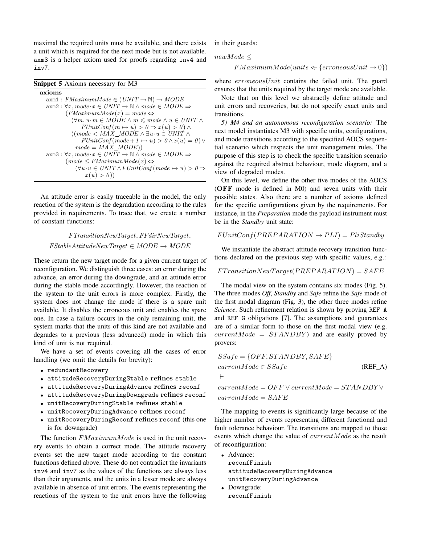maximal the required units must be available, and there exists a unit which is required for the next mode but is not available. axm3 is a helper axiom used for proofs regarding inv4 and inv7.

| <b>Snippet 5</b> Axioms necessary for M3                                                                             |
|----------------------------------------------------------------------------------------------------------------------|
| axioms                                                                                                               |
| $axm1: \text{F} \text{Maximum} \text{Mode} \in (\text{UNIT} \rightarrow \mathbb{N}) \rightarrow \text{MODE}$         |
| $\exists x \in \mathbb{R} : \forall x, mode \cdot x \in UNIT \rightarrow \mathbb{N} \land mode \in MODE \Rightarrow$ |
| $(FMaximumMode(x) = mode \Leftrightarrow$                                                                            |
| $(\forall m, u \cdot m \in MODE \land m \leq mode \land u \in UNIT \land$                                            |
| $FUntConf(m \mapsto u) > 0 \Rightarrow x(u) > 0) \wedge$                                                             |
| $((mode < MAX$ MODE $\land \exists u \cdot u \in UNIT \land$                                                         |
| $FUntConf(model+1 \rightarrow u) > 0 \land x(u) = 0) \lor$                                                           |
| $mode = MAX\_MODE)$                                                                                                  |
| $\exists x \in \mathbb{R} : \forall x, mode \cdot x \in UNIT \rightarrow \mathbb{N} \land mode \in MODE \Rightarrow$ |
| $(mode \leq FMaximumMode(x) \Leftrightarrow$                                                                         |
| $(\forall u \cdot u \in UNIT \land FUnitConf(model \mapsto u) > 0 \Rightarrow$                                       |
| $x(u) > 0$ )                                                                                                         |

An attitude error is easily traceable in the model, the only reaction of the system is the degradation according to the rules provided in requirements. To trace that, we create a number of constant functions:

# FTransitionNewTarget, FFdirNewTarget,  $FStableAttitudeNewTarget \in MODE \rightarrow MODE$

These return the new target mode for a given current target of reconfiguration. We distinguish three cases: an error during the advance, an error during the downgrade, and an attitude error during the stable mode accordingly. However, the reaction of the system to the unit errors is more complex. Firstly, the system does not change the mode if there is a spare unit available. It disables the erroneous unit and enables the spare one. In case a failure occurs in the only remaining unit, the system marks that the units of this kind are not available and degrades to a previous (less advanced) mode in which this kind of unit is not required.

We have a set of events covering all the cases of error handling (we omit the details for brevity):

- redundantRecovery
- attitudeRecoveryDuringStable refines stable
- attitudeRecoveryDuringAdvance refines reconf
- attitudeRecoveryDuringDowngrade refines reconf
- unitRecoveryDuringStable refines stable
- unitRecoveryDuringAdvance refines reconf
- unitRecoveryDuringReconf refines reconf (this one is for downgrade)

The function  $FMaximumMode$  is used in the unit recovery events to obtain a correct mode. The attitude recovery events set the new target mode according to the constant functions defined above. These do not contradict the invariants inv4 and inv7 as the values of the functions are always less than their arguments, and the units in a lesser mode are always available in absence of unit errors. The events representing the reactions of the system to the unit errors have the following

in their guards:

 $newMode \leq$ 

 $FMaximumMode(units \triangleleft {erroneousUnit \mapsto 0}$ )

where  $erroneousUnit$  contains the failed unit. The guard ensures that the units required by the target mode are available.

Note that on this level we abstractly define attitude and unit errors and recoveries, but do not specify exact units and transitions.

*5) M4 and an autonomous reconfiguration scenario:* The next model instantiates M3 with specific units, configurations, and mode transitions according to the specified AOCS sequential scenario which respects the unit management rules. The purpose of this step is to check the specific transition scenario against the required abstract behaviour, mode diagram, and a view of degraded modes.

On this level, we define the other five modes of the AOCS (OFF mode is defined in M0) and seven units with their possible states. Also there are a number of axioms defined for the specific configurations given by the requirements. For instance, in the *Preparation* mode the payload instrument must be in the *Standby* unit state:

# $FUnitConf(PREPARATION \rightarrow PLI) = PliStandby$

We instantiate the abstract attitude recovery transition functions declared on the previous step with specific values, e.g.:

 $FT transitionNewTarget(PREPARATION) = SAFE$ 

The modal view on the system contains six modes (Fig. 5). The three modes *Off*, *Standby* and *Safe* refine the *Safe* mode of the first modal diagram (Fig. 3), the other three modes refine *Science*. Such refinement relation is shown by proving REF A and REF G obligations [7]. The assumptions and guarantees are of a similar form to those on the first modal view (e.g.  $currentMode = STANDBY$ ) and are easily proved by provers:

$$
SSafe = \{OFF, STANDBY, SAFE\}
$$
  
currentMode  $\in$  SSafe (REF\_A)  
 $\vdash$ 

 $currentMode = OFF \vee currentMode = STANDBY \vee$  $currentMode = SAFE$ 

The mapping to events is significantly large because of the higher number of events representing different functional and fault tolerance behaviour. The transitions are mapped to those events which change the value of  $currentMode$  as the result of reconfiguration:

- Advance: reconfFinish attitudeRecoveryDuringAdvance unitRecoveryDuringAdvance
- Downgrade: reconfFinish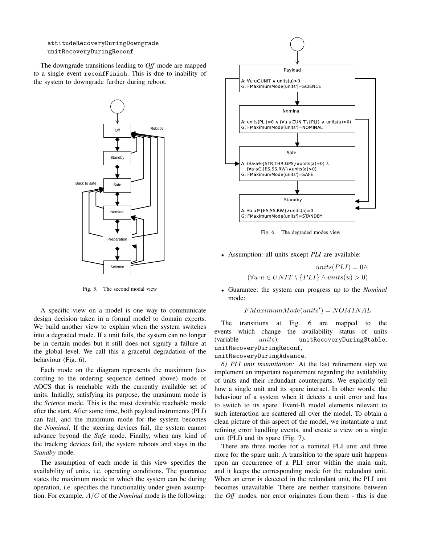attitudeRecoveryDuringDowngrade unitRecoveryDuringReconf

The downgrade transitions leading to *Off* mode are mapped to a single event reconfFinish. This is due to inability of the system to downgrade further during reboot.



Fig. 5. The second modal view

A specific view on a model is one way to communicate design decision taken in a formal model to domain experts. We build another view to explain when the system switches into a degraded mode. If a unit fails, the system can no longer be in certain modes but it still does not signify a failure at the global level. We call this a graceful degradation of the behaviour (Fig. 6).

Each mode on the diagram represents the maximum (according to the ordering sequence defined above) mode of AOCS that is reachable with the currently available set of units. Initially, satisfying its purpose, the maximum mode is the *Science* mode. This is the most desirable reachable mode after the start. After some time, both payload instruments (PLI) can fail, and the maximum mode for the system becomes the *Nominal*. If the steering devices fail, the system cannot advance beyond the *Safe* mode. Finally, when any kind of the tracking devices fail, the system reboots and stays in the *Standby* mode.

The assumption of each mode in this view specifies the availability of units, i.e. operating conditions. The guarantee states the maximum mode in which the system can be during operation, i.e. specifies the functionality under given assumption. For example, A/G of the *Nominal* mode is the following:



Fig. 6. The degraded modes view

• Assumption: all units except *PLI* are available:

 $units(PLI) = 0 \wedge$  $(\forall u \cdot u \in UNIT \setminus \{PLI\} \land units(u) > 0)$ 

• Guarantee: the system can progress up to the *Nominal* mode:

 $FMaximumMode(units') = NOMINAL$ 

The transitions at Fig. 6 are mapped to the events which change the availability status of units (variable units): unitRecoveryDuringStable, unitRecoveryDuringReconf,

unitRecoveryDuringAdvance.

*6) PLI unit instantiation:* At the last refinement step we implement an important requirement regarding the availability of units and their redundant counterparts. We explicitly tell how a single unit and its spare interact. In other words, the behaviour of a system when it detects a unit error and has to switch to its spare. Event-B model elements relevant to such interaction are scattered all over the model. To obtain a clean picture of this aspect of the model, we instantiate a unit refining error handling events, and create a view on a single unit (PLI) and its spare (Fig. 7).

There are three modes for a nominal PLI unit and three more for the spare unit. A transition to the spare unit happens upon an occurrence of a PLI error within the main unit, and it keeps the corresponding mode for the redundant unit. When an error is detected in the redundant unit, the PLI unit becomes unavailable. There are neither transitions between the *Off* modes, nor error originates from them - this is due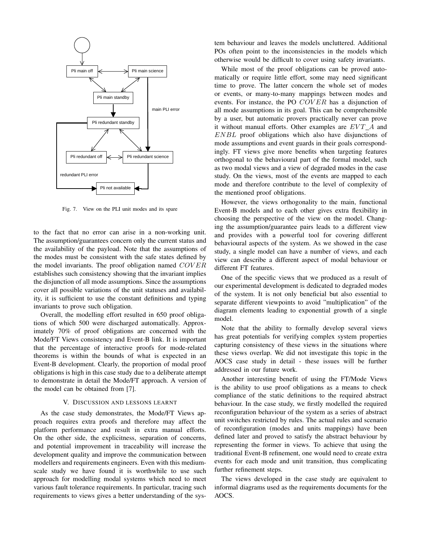

Fig. 7. View on the PLI unit modes and its spare

to the fact that no error can arise in a non-working unit. The assumption/guarantees concern only the current status and the availability of the payload. Note that the assumptions of the modes must be consistent with the safe states defined by the model invariants. The proof obligation named  $COVER$ establishes such consistency showing that the invariant implies the disjunction of all mode assumptions. Since the assumptions cover all possible variations of the unit statuses and availability, it is sufficient to use the constant definitions and typing invariants to prove such obligation.

Overall, the modelling effort resulted in 650 proof obligations of which 500 were discharged automatically. Approximately 70% of proof obligations are concerned with the Mode/FT Views consistency and Event-B link. It is important that the percentage of interactive proofs for mode-related theorems is within the bounds of what is expected in an Event-B development. Clearly, the proportion of modal proof obligations is high in this case study due to a deliberate attempt to demonstrate in detail the Mode/FT approach. A version of the model can be obtained from [7].

## V. DISCUSSION AND LESSONS LEARNT

As the case study demonstrates, the Mode/FT Views approach requires extra proofs and therefore may affect the platform performance and result in extra manual efforts. On the other side, the explicitness, separation of concerns, and potential improvement in traceability will increase the development quality and improve the communication between modellers and requirements engineers. Even with this mediumscale study we have found it is worthwhile to use such approach for modelling modal systems which need to meet various fault tolerance requirements. In particular, tracing such requirements to views gives a better understanding of the system behaviour and leaves the models uncluttered. Additional POs often point to the inconsistencies in the models which otherwise would be difficult to cover using safety invariants.

While most of the proof obligations can be proved automatically or require little effort, some may need significant time to prove. The latter concern the whole set of modes or events, or many-to-many mappings between modes and events. For instance, the PO COVER has a disjunction of all mode assumptions in its goal. This can be comprehensible by a user, but automatic provers practically never can prove it without manual efforts. Other examples are  $EVT$  A and ENBL proof obligations which also have disjunctions of mode assumptions and event guards in their goals correspondingly. FT views give more benefits when targeting features orthogonal to the behavioural part of the formal model, such as two modal views and a view of degraded modes in the case study. On the views, most of the events are mapped to each mode and therefore contribute to the level of complexity of the mentioned proof obligations.

However, the views orthogonality to the main, functional Event-B models and to each other gives extra flexibility in choosing the perspective of the view on the model. Changing the assumption/guarantee pairs leads to a different view and provides with a powerful tool for covering different behavioural aspects of the system. As we showed in the case study, a single model can have a number of views, and each view can describe a different aspect of modal behaviour or different FT features.

One of the specific views that we produced as a result of our experimental development is dedicated to degraded modes of the system. It is not only beneficial but also essential to separate different viewpoints to avoid "multiplication" of the diagram elements leading to exponential growth of a single model.

Note that the ability to formally develop several views has great potentials for verifying complex system properties capturing consistency of these views in the situations where these views overlap. We did not investigate this topic in the AOCS case study in detail - these issues will be further addressed in our future work.

Another interesting benefit of using the FT/Mode Views is the ability to use proof obligations as a means to check compliance of the static definitions to the required abstract behaviour. In the case study, we firstly modelled the required reconfiguration behaviour of the system as a series of abstract unit switches restricted by rules. The actual rules and scenario of reconfiguration (modes and units mappings) have been defined later and proved to satisfy the abstract behaviour by representing the former in views. To achieve that using the traditional Event-B refinement, one would need to create extra events for each mode and unit transition, thus complicating further refinement steps.

The views developed in the case study are equivalent to informal diagrams used as the requirements documents for the AOCS.